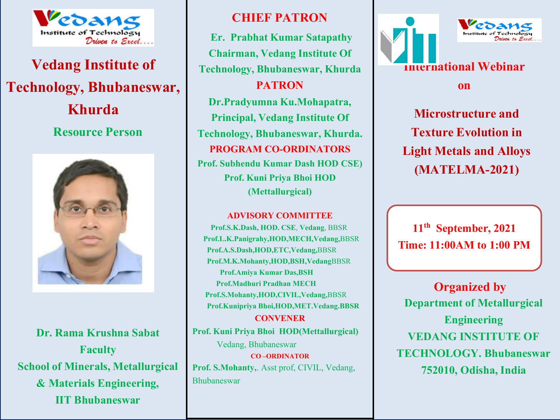

# **Vedang Institute of Technology, Bhubaneswar, Resource Person**



**Dr. Rama Krushna Sabat Faculty School of Minerals, Metallurgical & Materials Engineering, IIT Bhubaneswar**

# **CHIEF PATRON**

**Khurda Microsoft Constitution Microstructure and** *Principal,* **Vedang Institute Of <b>Microstructure and Er. Prabhat Kumar Satapathy Chairman, Vedang Institute Of Technology, Bhubaneswar, Khurda PATRON Dr.Pradyumna Ku.Mohapatra, Technology, Bhubaneswar, Khurda. PROGRAM CO-ORDINATORS Prof. Subhendu Kumar Dash HOD CSE) Prof. Kuni Priya Bhoi HOD (Mettallurgical)**

#### **ADVISORY COMMITTEE**

**Prof.S.K.Dash, HOD. CSE**, **Vedang**, BBSR **Prof.L.K.Panigrahy,HOD,MECH,Vedang,**BBSR **Prof.A.S.Dash,HOD,ETC,Vedang,**BBSR **Prof.M.K.Mohanty,HOD,BSH,Vedang**BBSR **Prof.Amiya Kumar Das,BSH Prof.Madhuri Pradhan MECH Prof.S.Mohanty,HOD,CIVIL,Vedang,**BBSR **Prof.Kunipriya Bhoi,HOD,MET.Vedang.BBSR**

**CONVENER Prof. Kuni Priya Bhoi HOD(Mettallurgical)** Vedang, Bhubaneswar **CO –ORDINATOR Prof. S.Mohanty,**. Asst prof, CIVIL, Vedang, Bhubaneswar



**on**

**Texture Evolution in Light Metals and Alloys (MATELMA-2021)**

**11th September, 2021 Time: 11:00AM to 1:00 PM**

**Department of Metallurgical Engineering VEDANG INSTITUTE OF TECHNOLOGY. Bhubaneswar 752010, Odisha, India Organized by**